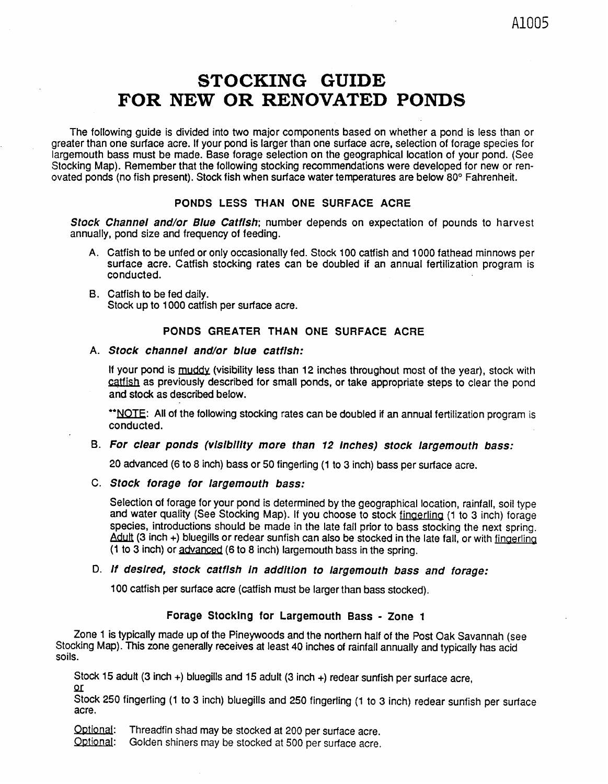# STOCKING GUIDE FOR NEW OR RENOVATED PONDS

The following guide is divided into two major components based on whether a pond is less than or greater than one surface acre. If your pond is larger than one surface acre, selection of forage species for largemouth bass must be made. Base forage selection on the geographical location of your pond. (See Stocking Map). Remember that the following stocking recommendations were developed for new or renovated ponds (no fish present). Stock fish when surface water temperatures are below 80° Fahrenheit.

#### **PONDS LESS THAN ONE SURFACE ACRE**

**Stock Channel and/or Blue Catfish;** number depends on expectation of pounds to harvest annually, pond size and frequency of feeding.

- A. Catfish to be unfed or only occasionally fed. Stock 100 catfish and 1000 fathead minnows per surface acre. Catfish stocking rates can be doubled if an annual fertilization program is conducted.
- B. Catfish to be fed daily. Stock up to 1000 catfish per surface acre.

#### **PONDS GREATER THAN ONE SURFACE ACRE**

### A. **Stock channel and/or blue catfish:**

If your pond is muddy (visibility less than 12 inches throughout most of the year), stock with catfish as previously described for small ponds, or take appropriate steps to clear the pond and stock as described below.

\*\* NOTE: All of the following stocking rates can be doubled if an annual fertilization program is conducted.

#### B. **For clear ponds (visibility more than 12 inches) stock largemouth bass:**

20 advanced (6 to 8 inch) bass or 50 fingerling (1 to 3 inch) bass per surface acre.

#### C. **Stock forage for largemouth bass:**

Selection of forage for your pond is determined by the geographical location, rainfall, soil type and water quality (See Stocking Map). If you choose to stock fingerling (1 to 3 inch) forage species, introductions should be made in the late fall prior to bass stocking the next spring. Adult (3 inch +) bluegills or redear sunfish can also be stocked in the late fall, or with fingerling (1 to 3 inch) or advanced (6 to 8 inch) Iargemouth bass in the spring.

#### D. **If desired, stock catfish in addition to largemouth bass and forage:**

100 catfish per surface acre (catfish must be larger than bass stocked).

#### **Forage Stocking for Largemouth Bass - Zone 1**

Zone 1 is typically made up of the Pineywoods and the northern half of the Post Oak Savannah (see Stocking Map). This zone generally receives at least 40 inches of rainfall annually and typically has acid soils.

Stock 15 adult (3 inch +) bluegills and 15 adult (3 inch +) redear sunfish per surface acre, or

Stock 250 fingerling (1 to 3 inch) bluegills and 250 fingerling (1 to 3 inch) redear sunfish per surface acre.

Optional: Threadfin shad may be stocked at 200 per surface acre.<br>Optional: Golden shiners may be stocked at 500 per surface acre

Golden shiners may be stocked at 500 per surface acre.